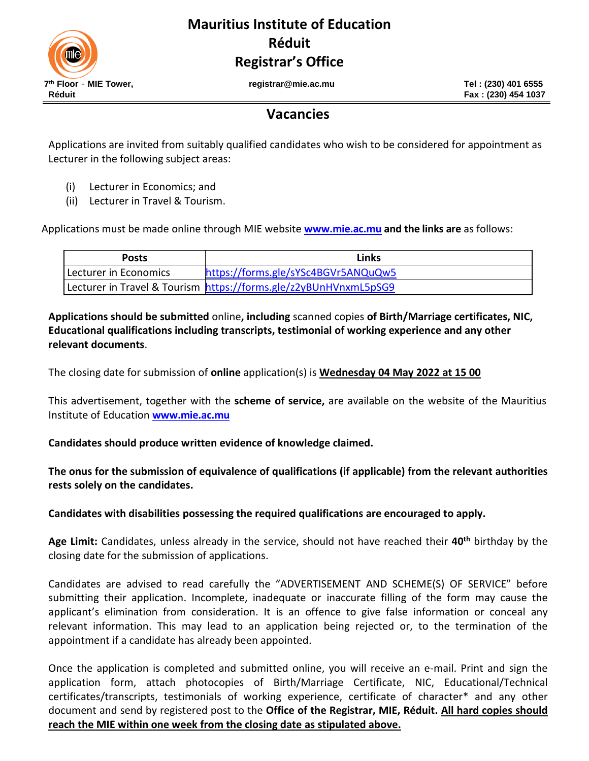

## **Mauritius Institute of Education Réduit Registrar's Office**

**th Floor** – **MIE Tower, registrar@mie.ac.mu Tel : (230) 401 6555**

## **Vacancies**

Applications are invited from suitably qualified candidates who wish to be considered for appointment as Lecturer in the following subject areas:

- (i) Lecturer in Economics; and
- (ii) Lecturer in Travel & Tourism.

Applications must be made online through MIE website **[www.mie.ac.mu](http://www.mie.ac.mu/)** and the links are as follows:

| <b>Posts</b>          | Links                                                            |
|-----------------------|------------------------------------------------------------------|
| Lecturer in Economics | https://forms.gle/sYSc4BGVr5ANQuQw5                              |
|                       | Lecturer in Travel & Tourism https://forms.gle/z2yBUnHVnxmL5pSG9 |

**Applications should be submitted** online**, including** scanned copies **of Birth/Marriage certificates, NIC, Educational qualifications including transcripts, testimonial of working experience and any other relevant documents**.

The closing date for submission of **online** application(s) is **Wednesday 04 May 2022 at 15 00**

This advertisement, together with the **scheme of service,** are available on the website of the Mauritius Institute of Education **[www.mie.ac.mu](http://www.mie.ac.mu/)**

**Candidates should produce written evidence of knowledge claimed.**

**The onus for the submission of equivalence of qualifications (if applicable) from the relevant authorities rests solely on the candidates.** 

**Candidates with disabilities possessing the required qualifications are encouraged to apply.**

Age Limit: Candidates, unless already in the service, should not have reached their 40<sup>th</sup> birthday by the closing date for the submission of applications.

Candidates are advised to read carefully the "ADVERTISEMENT AND SCHEME(S) OF SERVICE" before submitting their application. Incomplete, inadequate or inaccurate filling of the form may cause the applicant's elimination from consideration. It is an offence to give false information or conceal any relevant information. This may lead to an application being rejected or, to the termination of the appointment if a candidate has already been appointed.

Once the application is completed and submitted online, you will receive an e-mail. Print and sign the application form, attach photocopies of Birth/Marriage Certificate, NIC, Educational/Technical certificates/transcripts, testimonials of working experience, certificate of character\* and any other document and send by registered post to the **Office of the Registrar, MIE, Réduit. All hard copies should reach the MIE within one week from the closing date as stipulated above.**